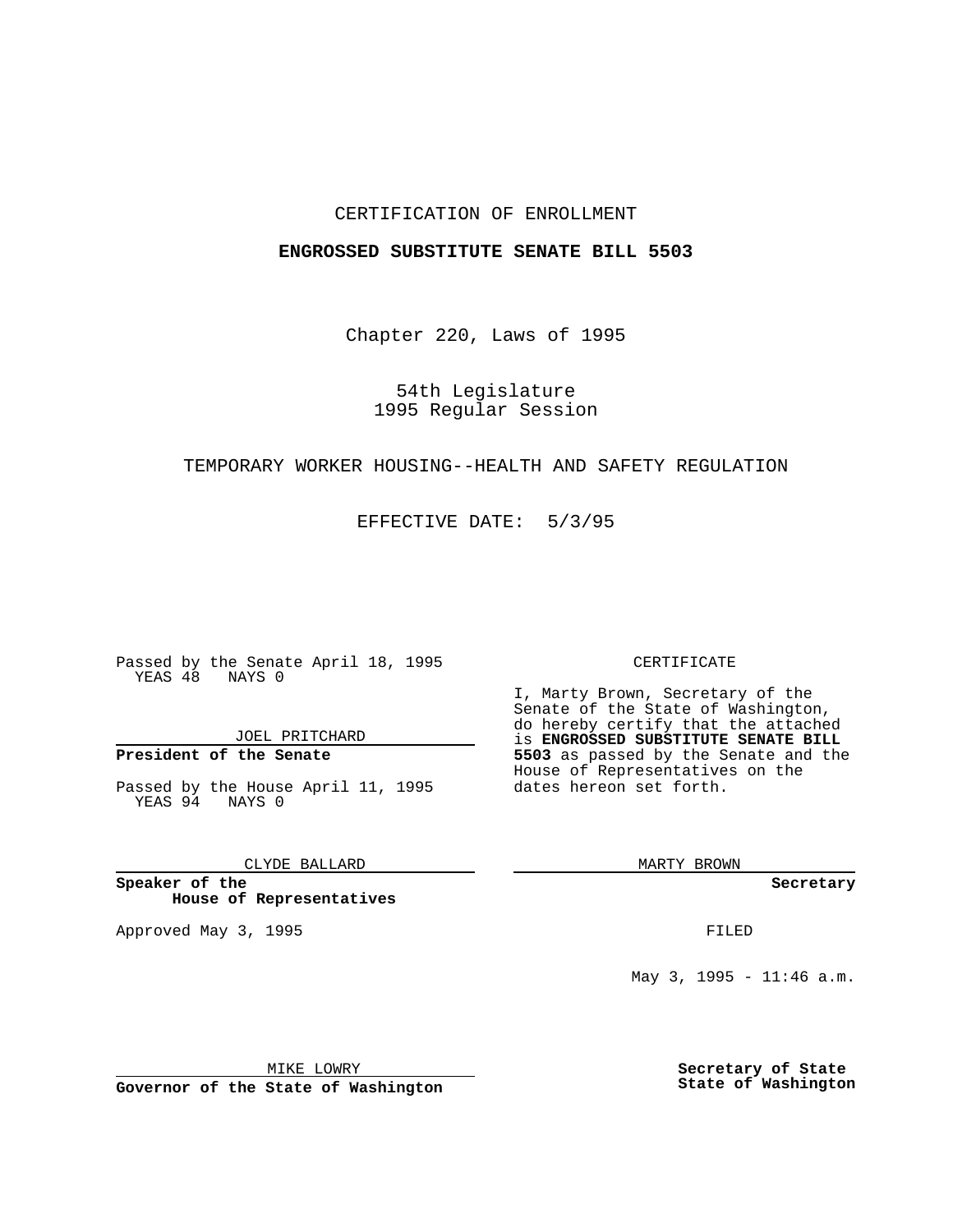## CERTIFICATION OF ENROLLMENT

## **ENGROSSED SUBSTITUTE SENATE BILL 5503**

Chapter 220, Laws of 1995

54th Legislature 1995 Regular Session

## TEMPORARY WORKER HOUSING--HEALTH AND SAFETY REGULATION

EFFECTIVE DATE: 5/3/95

Passed by the Senate April 18, 1995 YEAS 48 NAYS 0

JOEL PRITCHARD

# **President of the Senate**

Passed by the House April 11, 1995 YEAS 94 NAYS 0

CLYDE BALLARD

**Speaker of the House of Representatives**

Approved May 3, 1995 **FILED** 

#### CERTIFICATE

I, Marty Brown, Secretary of the Senate of the State of Washington, do hereby certify that the attached is **ENGROSSED SUBSTITUTE SENATE BILL 5503** as passed by the Senate and the House of Representatives on the dates hereon set forth.

MARTY BROWN

**Secretary**

May 3, 1995 - 11:46 a.m.

MIKE LOWRY

**Governor of the State of Washington**

**Secretary of State State of Washington**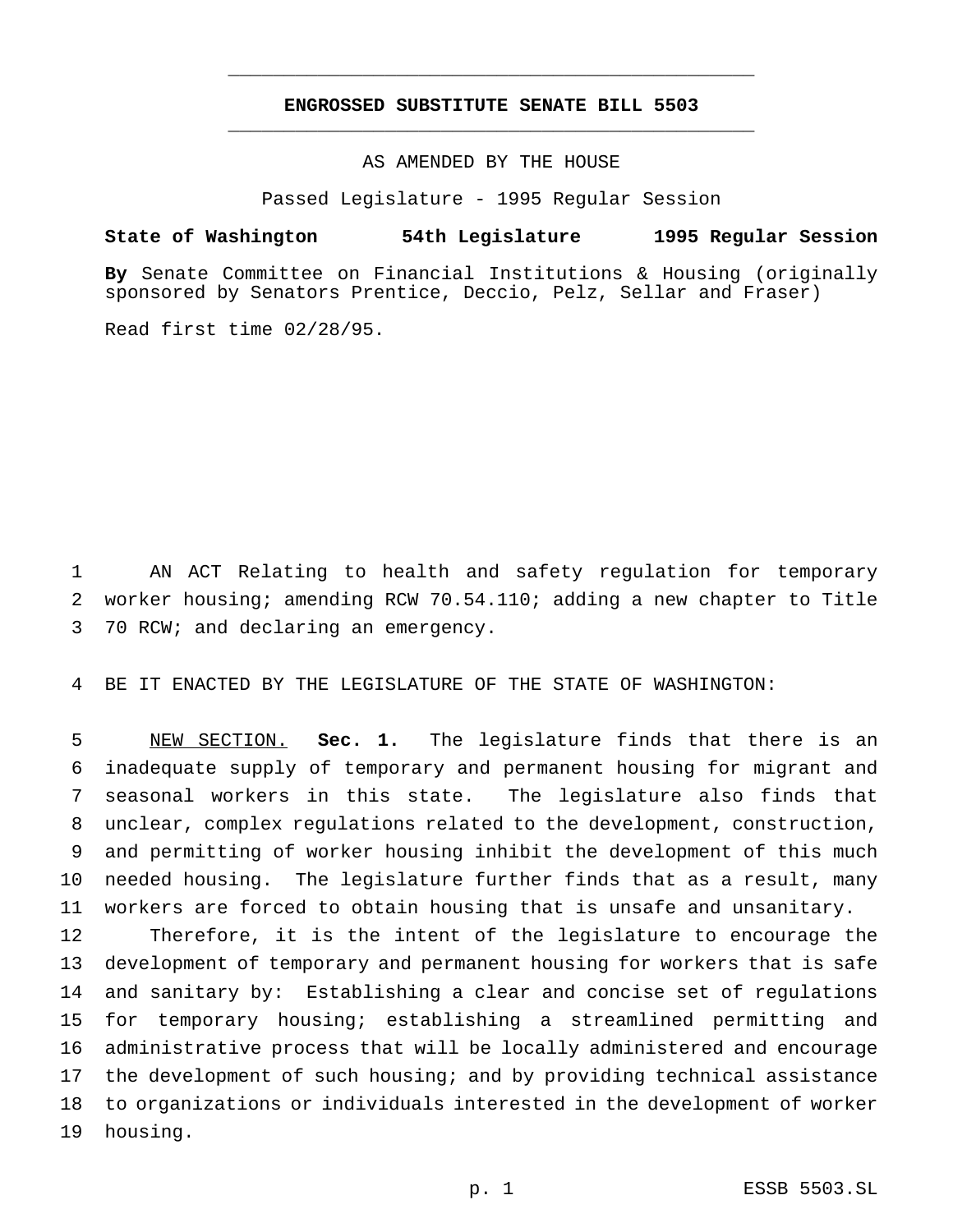# **ENGROSSED SUBSTITUTE SENATE BILL 5503** \_\_\_\_\_\_\_\_\_\_\_\_\_\_\_\_\_\_\_\_\_\_\_\_\_\_\_\_\_\_\_\_\_\_\_\_\_\_\_\_\_\_\_\_\_\_\_

\_\_\_\_\_\_\_\_\_\_\_\_\_\_\_\_\_\_\_\_\_\_\_\_\_\_\_\_\_\_\_\_\_\_\_\_\_\_\_\_\_\_\_\_\_\_\_

AS AMENDED BY THE HOUSE

Passed Legislature - 1995 Regular Session

### **State of Washington 54th Legislature 1995 Regular Session**

**By** Senate Committee on Financial Institutions & Housing (originally sponsored by Senators Prentice, Deccio, Pelz, Sellar and Fraser)

Read first time 02/28/95.

 AN ACT Relating to health and safety regulation for temporary worker housing; amending RCW 70.54.110; adding a new chapter to Title 70 RCW; and declaring an emergency.

BE IT ENACTED BY THE LEGISLATURE OF THE STATE OF WASHINGTON:

 NEW SECTION. **Sec. 1.** The legislature finds that there is an inadequate supply of temporary and permanent housing for migrant and seasonal workers in this state. The legislature also finds that unclear, complex regulations related to the development, construction, and permitting of worker housing inhibit the development of this much needed housing. The legislature further finds that as a result, many workers are forced to obtain housing that is unsafe and unsanitary.

 Therefore, it is the intent of the legislature to encourage the development of temporary and permanent housing for workers that is safe and sanitary by: Establishing a clear and concise set of regulations for temporary housing; establishing a streamlined permitting and administrative process that will be locally administered and encourage the development of such housing; and by providing technical assistance to organizations or individuals interested in the development of worker housing.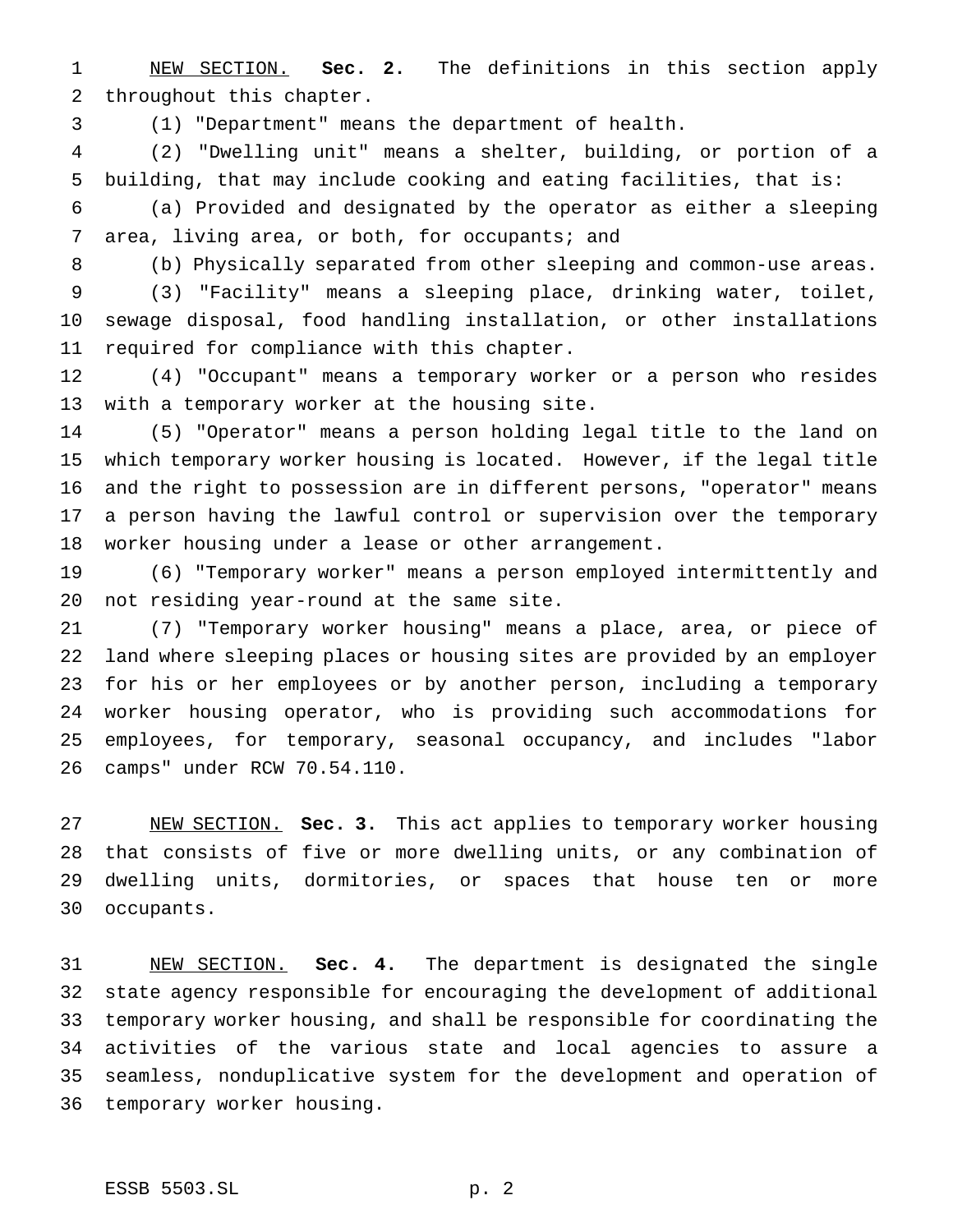NEW SECTION. **Sec. 2.** The definitions in this section apply throughout this chapter.

(1) "Department" means the department of health.

 (2) "Dwelling unit" means a shelter, building, or portion of a building, that may include cooking and eating facilities, that is:

 (a) Provided and designated by the operator as either a sleeping 7 area, living area, or both, for occupants; and

(b) Physically separated from other sleeping and common-use areas.

 (3) "Facility" means a sleeping place, drinking water, toilet, sewage disposal, food handling installation, or other installations required for compliance with this chapter.

 (4) "Occupant" means a temporary worker or a person who resides with a temporary worker at the housing site.

 (5) "Operator" means a person holding legal title to the land on which temporary worker housing is located. However, if the legal title and the right to possession are in different persons, "operator" means a person having the lawful control or supervision over the temporary worker housing under a lease or other arrangement.

 (6) "Temporary worker" means a person employed intermittently and not residing year-round at the same site.

 (7) "Temporary worker housing" means a place, area, or piece of land where sleeping places or housing sites are provided by an employer for his or her employees or by another person, including a temporary worker housing operator, who is providing such accommodations for employees, for temporary, seasonal occupancy, and includes "labor camps" under RCW 70.54.110.

 NEW SECTION. **Sec. 3.** This act applies to temporary worker housing that consists of five or more dwelling units, or any combination of dwelling units, dormitories, or spaces that house ten or more occupants.

 NEW SECTION. **Sec. 4.** The department is designated the single state agency responsible for encouraging the development of additional temporary worker housing, and shall be responsible for coordinating the activities of the various state and local agencies to assure a seamless, nonduplicative system for the development and operation of temporary worker housing.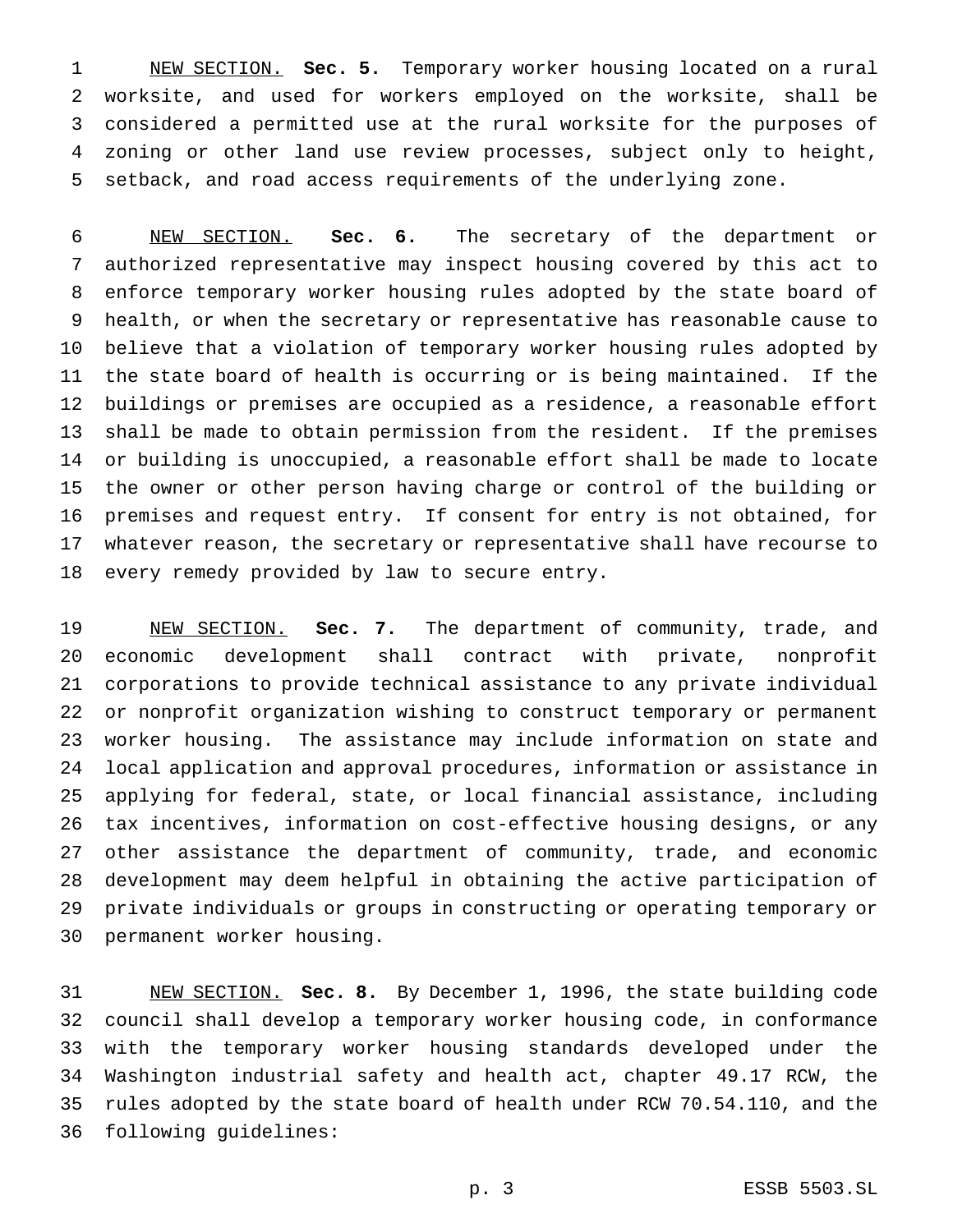NEW SECTION. **Sec. 5.** Temporary worker housing located on a rural worksite, and used for workers employed on the worksite, shall be considered a permitted use at the rural worksite for the purposes of zoning or other land use review processes, subject only to height, setback, and road access requirements of the underlying zone.

 NEW SECTION. **Sec. 6.** The secretary of the department or authorized representative may inspect housing covered by this act to enforce temporary worker housing rules adopted by the state board of health, or when the secretary or representative has reasonable cause to believe that a violation of temporary worker housing rules adopted by the state board of health is occurring or is being maintained. If the buildings or premises are occupied as a residence, a reasonable effort shall be made to obtain permission from the resident. If the premises or building is unoccupied, a reasonable effort shall be made to locate the owner or other person having charge or control of the building or premises and request entry. If consent for entry is not obtained, for whatever reason, the secretary or representative shall have recourse to every remedy provided by law to secure entry.

 NEW SECTION. **Sec. 7.** The department of community, trade, and economic development shall contract with private, nonprofit corporations to provide technical assistance to any private individual or nonprofit organization wishing to construct temporary or permanent worker housing. The assistance may include information on state and local application and approval procedures, information or assistance in applying for federal, state, or local financial assistance, including tax incentives, information on cost-effective housing designs, or any other assistance the department of community, trade, and economic development may deem helpful in obtaining the active participation of private individuals or groups in constructing or operating temporary or permanent worker housing.

 NEW SECTION. **Sec. 8.** By December 1, 1996, the state building code council shall develop a temporary worker housing code, in conformance with the temporary worker housing standards developed under the Washington industrial safety and health act, chapter 49.17 RCW, the rules adopted by the state board of health under RCW 70.54.110, and the following guidelines: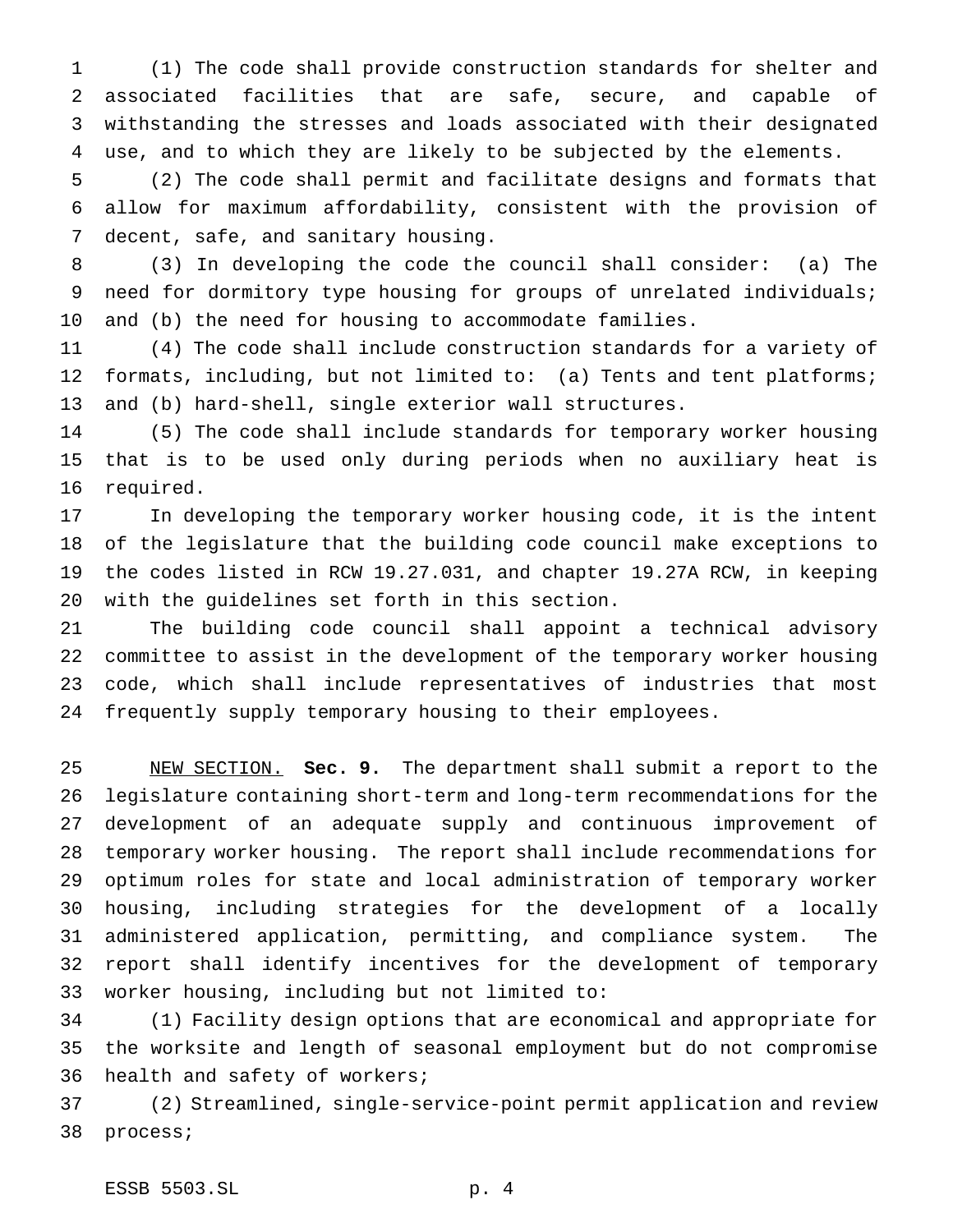(1) The code shall provide construction standards for shelter and associated facilities that are safe, secure, and capable of withstanding the stresses and loads associated with their designated use, and to which they are likely to be subjected by the elements.

 (2) The code shall permit and facilitate designs and formats that allow for maximum affordability, consistent with the provision of decent, safe, and sanitary housing.

 (3) In developing the code the council shall consider: (a) The need for dormitory type housing for groups of unrelated individuals; and (b) the need for housing to accommodate families.

 (4) The code shall include construction standards for a variety of 12 formats, including, but not limited to: (a) Tents and tent platforms; and (b) hard-shell, single exterior wall structures.

 (5) The code shall include standards for temporary worker housing that is to be used only during periods when no auxiliary heat is required.

 In developing the temporary worker housing code, it is the intent of the legislature that the building code council make exceptions to the codes listed in RCW 19.27.031, and chapter 19.27A RCW, in keeping with the guidelines set forth in this section.

 The building code council shall appoint a technical advisory committee to assist in the development of the temporary worker housing code, which shall include representatives of industries that most frequently supply temporary housing to their employees.

 NEW SECTION. **Sec. 9.** The department shall submit a report to the legislature containing short-term and long-term recommendations for the development of an adequate supply and continuous improvement of temporary worker housing. The report shall include recommendations for optimum roles for state and local administration of temporary worker housing, including strategies for the development of a locally administered application, permitting, and compliance system. The report shall identify incentives for the development of temporary worker housing, including but not limited to:

 (1) Facility design options that are economical and appropriate for the worksite and length of seasonal employment but do not compromise health and safety of workers;

 (2) Streamlined, single-service-point permit application and review process;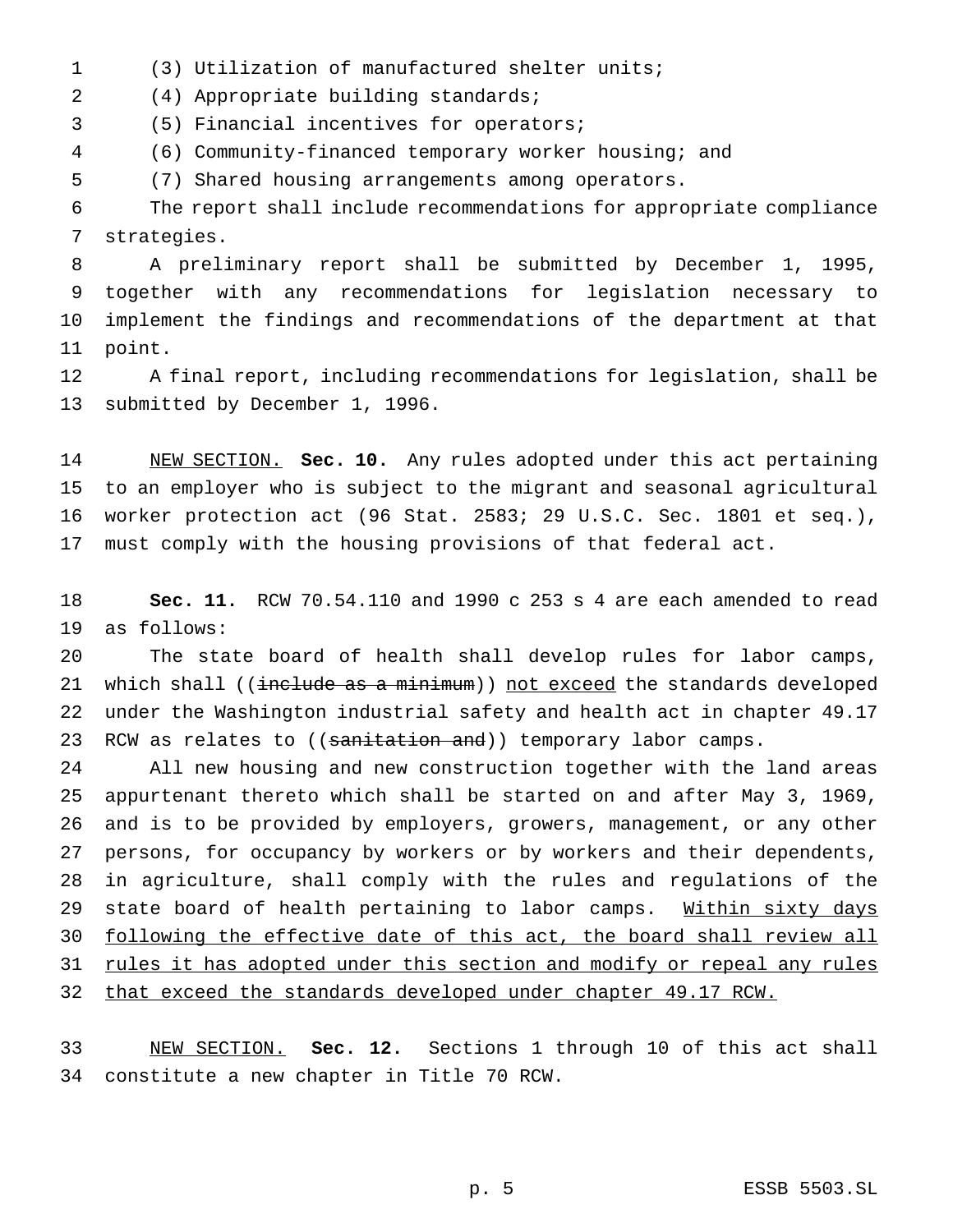(3) Utilization of manufactured shelter units;

(4) Appropriate building standards;

(5) Financial incentives for operators;

(6) Community-financed temporary worker housing; and

(7) Shared housing arrangements among operators.

 The report shall include recommendations for appropriate compliance strategies.

 A preliminary report shall be submitted by December 1, 1995, together with any recommendations for legislation necessary to implement the findings and recommendations of the department at that point.

 A final report, including recommendations for legislation, shall be submitted by December 1, 1996.

 NEW SECTION. **Sec. 10.** Any rules adopted under this act pertaining to an employer who is subject to the migrant and seasonal agricultural worker protection act (96 Stat. 2583; 29 U.S.C. Sec. 1801 et seq.), must comply with the housing provisions of that federal act.

 **Sec. 11.** RCW 70.54.110 and 1990 c 253 s 4 are each amended to read as follows:

 The state board of health shall develop rules for labor camps, 21 which shall ((include as a minimum)) not exceed the standards developed under the Washington industrial safety and health act in chapter 49.17 23 RCW as relates to ((sanitation and)) temporary labor camps.

 All new housing and new construction together with the land areas appurtenant thereto which shall be started on and after May 3, 1969, and is to be provided by employers, growers, management, or any other persons, for occupancy by workers or by workers and their dependents, in agriculture, shall comply with the rules and regulations of the 29 state board of health pertaining to labor camps. Within sixty days following the effective date of this act, the board shall review all 31 rules it has adopted under this section and modify or repeal any rules that exceed the standards developed under chapter 49.17 RCW.

 NEW SECTION. **Sec. 12.** Sections 1 through 10 of this act shall constitute a new chapter in Title 70 RCW.